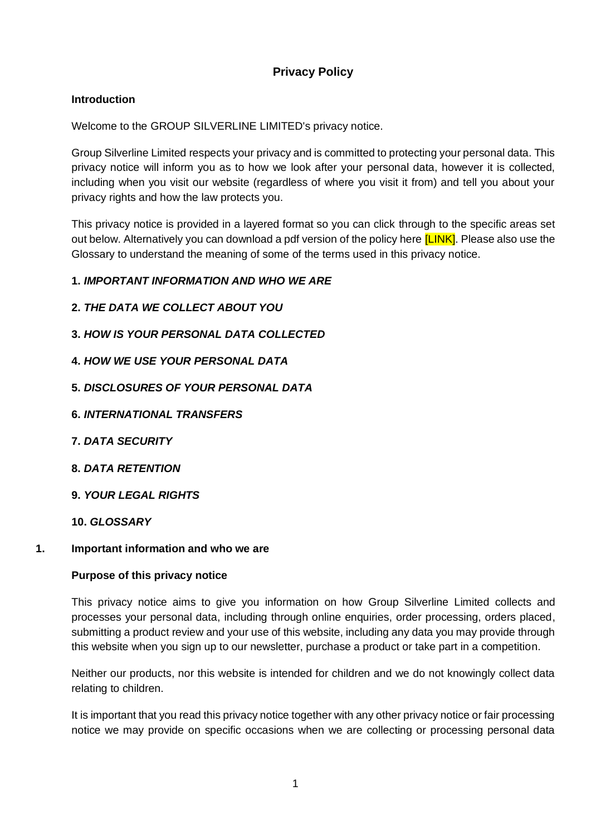# **Privacy Policy**

# **Introduction**

Welcome to the GROUP SILVERLINE LIMITED's privacy notice.

Group Silverline Limited respects your privacy and is committed to protecting your personal data. This privacy notice will inform you as to how we look after your personal data, however it is collected, including when you visit our website (regardless of where you visit it from) and tell you about your privacy rights and how the law protects you.

This privacy notice is provided in a layered format so you can click through to the specific areas set out below. Alternatively you can download a pdf version of the policy here **[LINK]**. Please also use the Glossary to understand the meaning of some of the terms used in this privacy notice.

# **1.** *IMPORTANT INFORMATION AND WHO WE ARE*

- **2.** *THE DATA WE COLLECT ABOUT YOU*
- **3.** *HOW IS YOUR PERSONAL DATA COLLECTED*
- **4.** *HOW WE USE YOUR PERSONAL DATA*
- **5.** *DISCLOSURES OF YOUR PERSONAL DATA*
- **6.** *INTERNATIONAL TRANSFERS*
- **7.** *DATA SECURITY*
- **8.** *DATA RETENTION*
- **9.** *YOUR LEGAL RIGHTS*
- **10.** *GLOSSARY*

### **1. Important information and who we are**

### **Purpose of this privacy notice**

This privacy notice aims to give you information on how Group Silverline Limited collects and processes your personal data, including through online enquiries, order processing, orders placed, submitting a product review and your use of this website, including any data you may provide through this website when you sign up to our newsletter, purchase a product or take part in a competition.

Neither our products, nor this website is intended for children and we do not knowingly collect data relating to children.

It is important that you read this privacy notice together with any other privacy notice or fair processing notice we may provide on specific occasions when we are collecting or processing personal data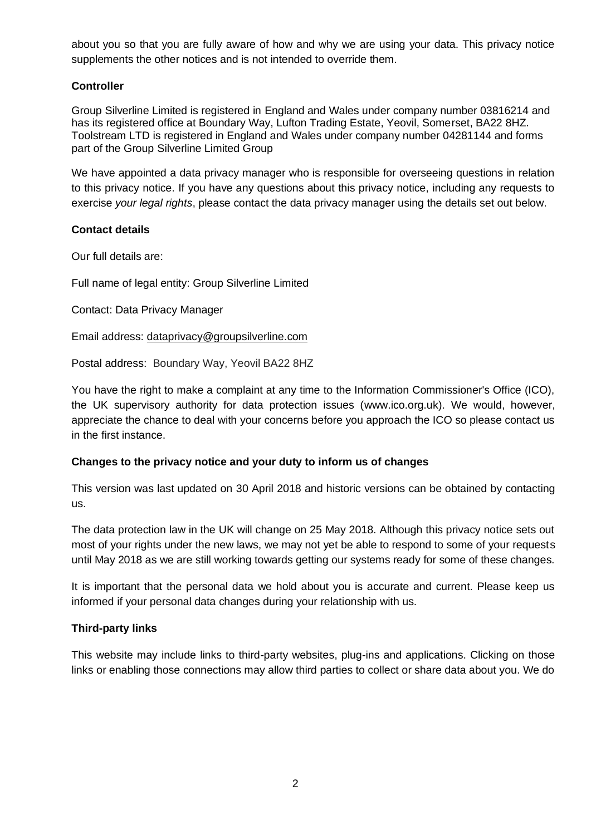about you so that you are fully aware of how and why we are using your data. This privacy notice supplements the other notices and is not intended to override them.

### **Controller**

Group Silverline Limited is registered in England and Wales under company number 03816214 and has its registered office at Boundary Way, Lufton Trading Estate, Yeovil, Somerset, BA22 8HZ. Toolstream LTD is registered in England and Wales under company number 04281144 and forms part of the Group Silverline Limited Group

We have appointed a data privacy manager who is responsible for overseeing questions in relation to this privacy notice. If you have any questions about this privacy notice, including any requests to exercise *your legal rights*, please contact the data privacy manager using the details set out below.

#### **Contact details**

Our full details are:

Full name of legal entity: Group Silverline Limited

Contact: Data Privacy Manager

Email address: [dataprivacy@groupsilverline.com](mailto:dataprivacy@groupsilverline.com)

Postal address: Boundary Way, Yeovil BA22 8HZ

You have the right to make a complaint at any time to the Information Commissioner's Office (ICO), the UK supervisory authority for data protection issues (www.ico.org.uk). We would, however, appreciate the chance to deal with your concerns before you approach the ICO so please contact us in the first instance.

#### **Changes to the privacy notice and your duty to inform us of changes**

This version was last updated on 30 April 2018 and historic versions can be obtained by contacting us.

The data protection law in the UK will change on 25 May 2018. Although this privacy notice sets out most of your rights under the new laws, we may not yet be able to respond to some of your requests until May 2018 as we are still working towards getting our systems ready for some of these changes.

It is important that the personal data we hold about you is accurate and current. Please keep us informed if your personal data changes during your relationship with us.

#### **Third-party links**

This website may include links to third-party websites, plug-ins and applications. Clicking on those links or enabling those connections may allow third parties to collect or share data about you. We do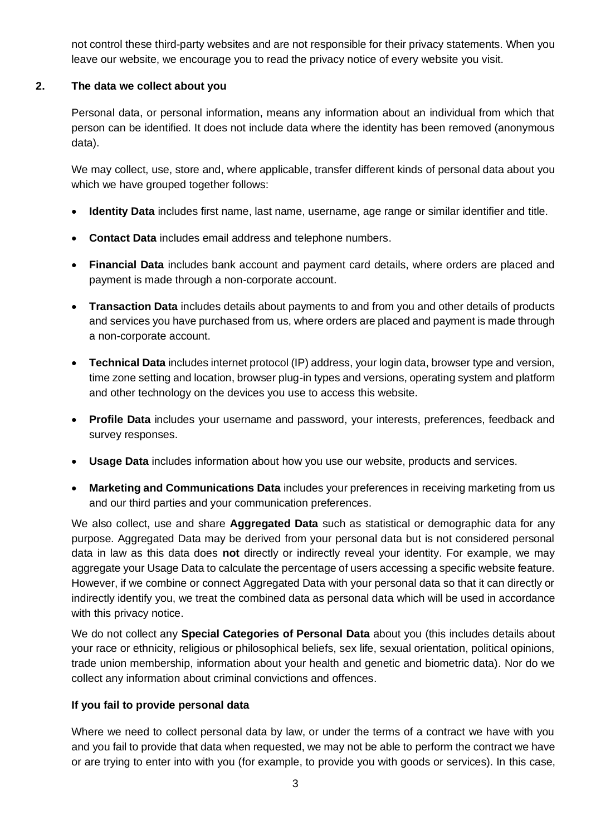not control these third-party websites and are not responsible for their privacy statements. When you leave our website, we encourage you to read the privacy notice of every website you visit.

# **2. The data we collect about you**

Personal data, or personal information, means any information about an individual from which that person can be identified. It does not include data where the identity has been removed (anonymous data).

We may collect, use, store and, where applicable, transfer different kinds of personal data about you which we have grouped together follows:

- **Identity Data** includes first name, last name, username, age range or similar identifier and title.
- **Contact Data** includes email address and telephone numbers.
- **Financial Data** includes bank account and payment card details, where orders are placed and payment is made through a non-corporate account.
- **Transaction Data** includes details about payments to and from you and other details of products and services you have purchased from us, where orders are placed and payment is made through a non-corporate account.
- **Technical Data** includes internet protocol (IP) address, your login data, browser type and version, time zone setting and location, browser plug-in types and versions, operating system and platform and other technology on the devices you use to access this website.
- **Profile Data** includes your username and password, your interests, preferences, feedback and survey responses.
- **Usage Data** includes information about how you use our website, products and services.
- **Marketing and Communications Data** includes your preferences in receiving marketing from us and our third parties and your communication preferences.

We also collect, use and share **Aggregated Data** such as statistical or demographic data for any purpose. Aggregated Data may be derived from your personal data but is not considered personal data in law as this data does **not** directly or indirectly reveal your identity. For example, we may aggregate your Usage Data to calculate the percentage of users accessing a specific website feature. However, if we combine or connect Aggregated Data with your personal data so that it can directly or indirectly identify you, we treat the combined data as personal data which will be used in accordance with this privacy notice.

We do not collect any **Special Categories of Personal Data** about you (this includes details about your race or ethnicity, religious or philosophical beliefs, sex life, sexual orientation, political opinions, trade union membership, information about your health and genetic and biometric data). Nor do we collect any information about criminal convictions and offences.

### **If you fail to provide personal data**

Where we need to collect personal data by law, or under the terms of a contract we have with you and you fail to provide that data when requested, we may not be able to perform the contract we have or are trying to enter into with you (for example, to provide you with goods or services). In this case,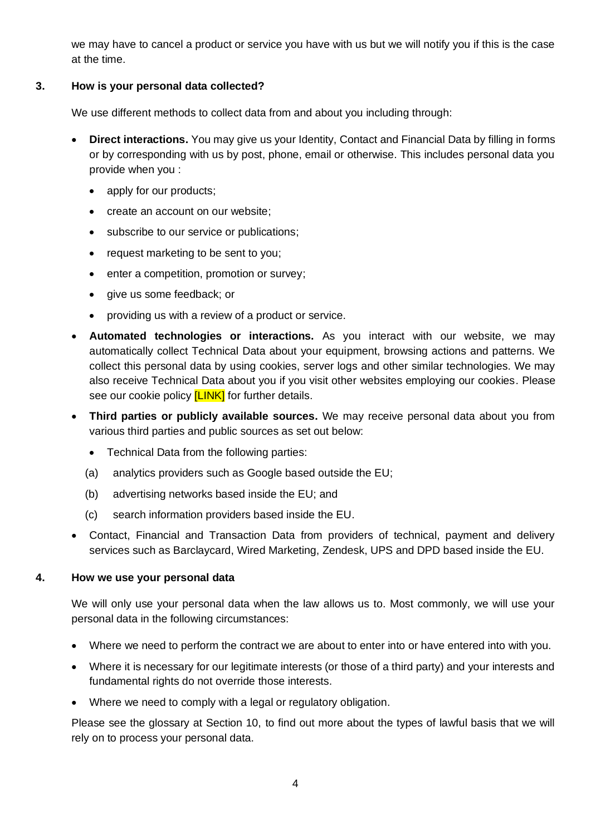we may have to cancel a product or service you have with us but we will notify you if this is the case at the time.

# **3. How is your personal data collected?**

We use different methods to collect data from and about you including through:

- **Direct interactions.** You may give us your Identity, Contact and Financial Data by filling in forms or by corresponding with us by post, phone, email or otherwise. This includes personal data you provide when you :
	- apply for our products;
	- create an account on our website;
	- subscribe to our service or publications;
	- request marketing to be sent to you;
	- enter a competition, promotion or survey;
	- give us some feedback; or
	- providing us with a review of a product or service.
- **Automated technologies or interactions.** As you interact with our website, we may automatically collect Technical Data about your equipment, browsing actions and patterns. We collect this personal data by using cookies, server logs and other similar technologies. We may also receive Technical Data about you if you visit other websites employing our cookies. Please see our cookie policy **[LINK]** for further details.
- **Third parties or publicly available sources.** We may receive personal data about you from various third parties and public sources as set out below:
	- Technical Data from the following parties:
	- (a) analytics providers such as Google based outside the EU;
	- (b) advertising networks based inside the EU; and
	- (c) search information providers based inside the EU.
- Contact, Financial and Transaction Data from providers of technical, payment and delivery services such as Barclaycard, Wired Marketing, Zendesk, UPS and DPD based inside the EU.

#### **4. How we use your personal data**

We will only use your personal data when the law allows us to. Most commonly, we will use your personal data in the following circumstances:

- Where we need to perform the contract we are about to enter into or have entered into with you.
- Where it is necessary for our legitimate interests (or those of a third party) and your interests and fundamental rights do not override those interests.
- Where we need to comply with a legal or regulatory obligation.

Please see the glossary at Section 10, to find out more about the types of lawful basis that we will rely on to process your personal data.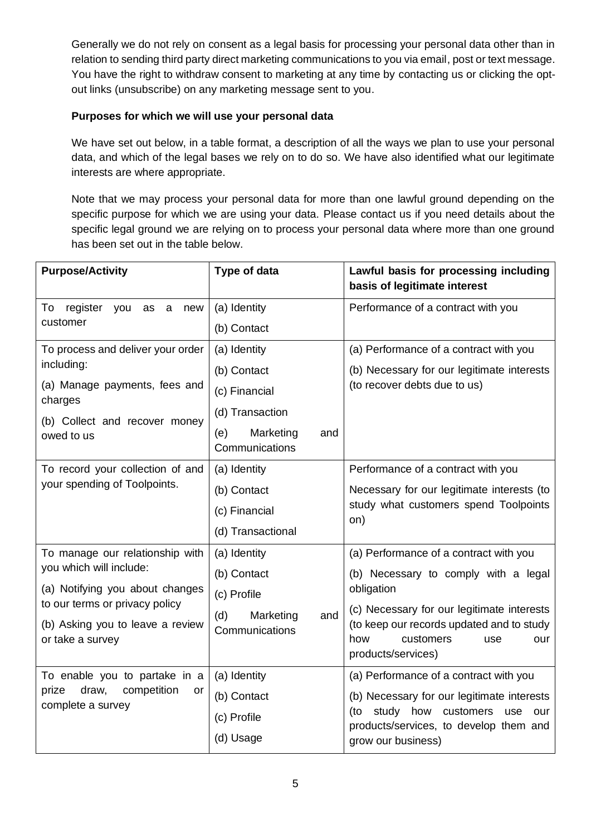Generally we do not rely on consent as a legal basis for processing your personal data other than in relation to sending third party direct marketing communications to you via email, post or text message. You have the right to withdraw consent to marketing at any time by contacting us or clicking the optout links (unsubscribe) on any marketing message sent to you.

### **Purposes for which we will use your personal data**

We have set out below, in a table format, a description of all the ways we plan to use your personal data, and which of the legal bases we rely on to do so. We have also identified what our legitimate interests are where appropriate.

Note that we may process your personal data for more than one lawful ground depending on the specific purpose for which we are using your data. Please contact us if you need details about the specific legal ground we are relying on to process your personal data where more than one ground has been set out in the table below.

| <b>Purpose/Activity</b>                                           | Type of data                                                                              | Lawful basis for processing including<br>basis of legitimate interest                                                                                     |
|-------------------------------------------------------------------|-------------------------------------------------------------------------------------------|-----------------------------------------------------------------------------------------------------------------------------------------------------------|
| To<br>register<br>you<br>a<br>as<br>new<br>customer               | (a) Identity                                                                              | Performance of a contract with you                                                                                                                        |
|                                                                   | (b) Contact                                                                               |                                                                                                                                                           |
| To process and deliver your order<br>including:                   | (a) Identity                                                                              | (a) Performance of a contract with you                                                                                                                    |
|                                                                   | (b) Contact                                                                               | (b) Necessary for our legitimate interests                                                                                                                |
| (a) Manage payments, fees and<br>charges                          | (c) Financial                                                                             | (to recover debts due to us)                                                                                                                              |
| (b) Collect and recover money<br>owed to us                       | (d) Transaction                                                                           |                                                                                                                                                           |
|                                                                   | (e)<br>Marketing<br>and<br>Communications                                                 |                                                                                                                                                           |
| To record your collection of and<br>your spending of Toolpoints.  | (a) Identity                                                                              | Performance of a contract with you                                                                                                                        |
|                                                                   | (b) Contact                                                                               | Necessary for our legitimate interests (to                                                                                                                |
|                                                                   | (c) Financial                                                                             | study what customers spend Toolpoints<br>on)                                                                                                              |
|                                                                   | (d) Transactional                                                                         |                                                                                                                                                           |
| To manage our relationship with<br>you which will include:        | (a) Identity                                                                              | (a) Performance of a contract with you                                                                                                                    |
|                                                                   | (b) Contact                                                                               | (b) Necessary to comply with a legal                                                                                                                      |
| (a) Notifying you about changes<br>to our terms or privacy policy | (c) Profile                                                                               | obligation                                                                                                                                                |
| (b) Asking you to leave a review<br>or take a survey              | (d)<br>Marketing<br>and<br>Communications                                                 | (c) Necessary for our legitimate interests<br>(to keep our records updated and to study<br>customers<br>how<br>use<br>our                                 |
|                                                                   |                                                                                           |                                                                                                                                                           |
|                                                                   | To enable you to partake in a<br>draw,<br>competition<br>prize<br>or<br>complete a survey | (a) Identity                                                                                                                                              |
| (b) Contact                                                       |                                                                                           | (b) Necessary for our legitimate interests<br>study how<br>customers<br>(to<br>use<br>our<br>products/services, to develop them and<br>grow our business) |
| (c) Profile                                                       |                                                                                           |                                                                                                                                                           |
| (d) Usage                                                         |                                                                                           |                                                                                                                                                           |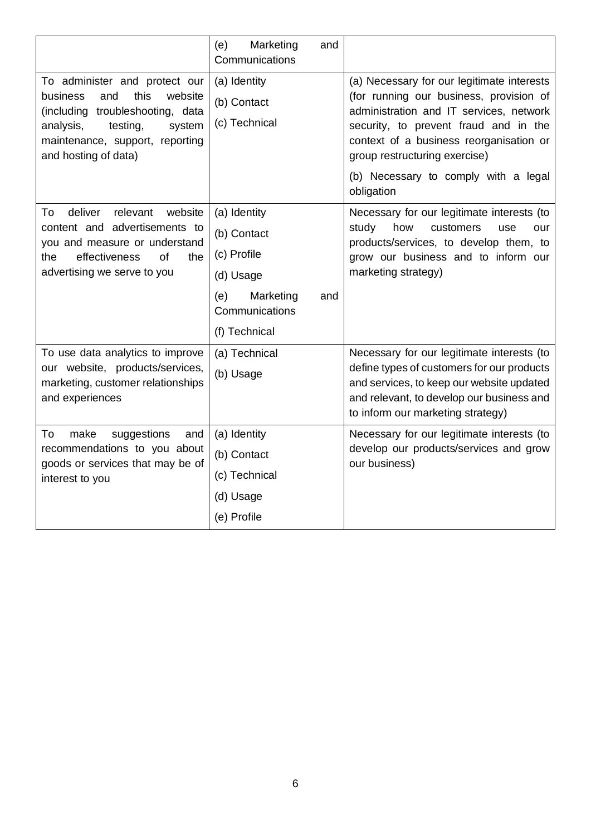|                                                                                                                                                                                                       | Marketing<br>(e)<br>and<br>Communications                                                                             |                                                                                                                                                                                                                                                                                               |
|-------------------------------------------------------------------------------------------------------------------------------------------------------------------------------------------------------|-----------------------------------------------------------------------------------------------------------------------|-----------------------------------------------------------------------------------------------------------------------------------------------------------------------------------------------------------------------------------------------------------------------------------------------|
| To administer and protect our<br>business<br>this<br>website<br>and<br>(including troubleshooting, data<br>testing,<br>analysis,<br>system<br>maintenance, support, reporting<br>and hosting of data) | (a) Identity<br>(b) Contact<br>(c) Technical                                                                          | (a) Necessary for our legitimate interests<br>(for running our business, provision of<br>administration and IT services, network<br>security, to prevent fraud and in the<br>context of a business reorganisation or<br>group restructuring exercise)<br>(b) Necessary to comply with a legal |
|                                                                                                                                                                                                       |                                                                                                                       | obligation                                                                                                                                                                                                                                                                                    |
| deliver<br>To<br>relevant<br>website<br>content and advertisements to<br>you and measure or understand<br>effectiveness<br>of<br>the<br>the.<br>advertising we serve to you                           | (a) Identity<br>(b) Contact<br>(c) Profile<br>(d) Usage<br>Marketing<br>(e)<br>and<br>Communications<br>(f) Technical | Necessary for our legitimate interests (to<br>study<br>how<br>customers<br>use<br>our<br>products/services, to develop them, to<br>grow our business and to inform our<br>marketing strategy)                                                                                                 |
| To use data analytics to improve<br>our website, products/services,<br>marketing, customer relationships<br>and experiences                                                                           | (a) Technical<br>(b) Usage                                                                                            | Necessary for our legitimate interests (to<br>define types of customers for our products<br>and services, to keep our website updated<br>and relevant, to develop our business and<br>to inform our marketing strategy)                                                                       |
| To<br>make<br>suggestions<br>and<br>recommendations to you about<br>goods or services that may be of<br>interest to you                                                                               | (a) Identity<br>(b) Contact<br>(c) Technical<br>(d) Usage<br>(e) Profile                                              | Necessary for our legitimate interests (to<br>develop our products/services and grow<br>our business)                                                                                                                                                                                         |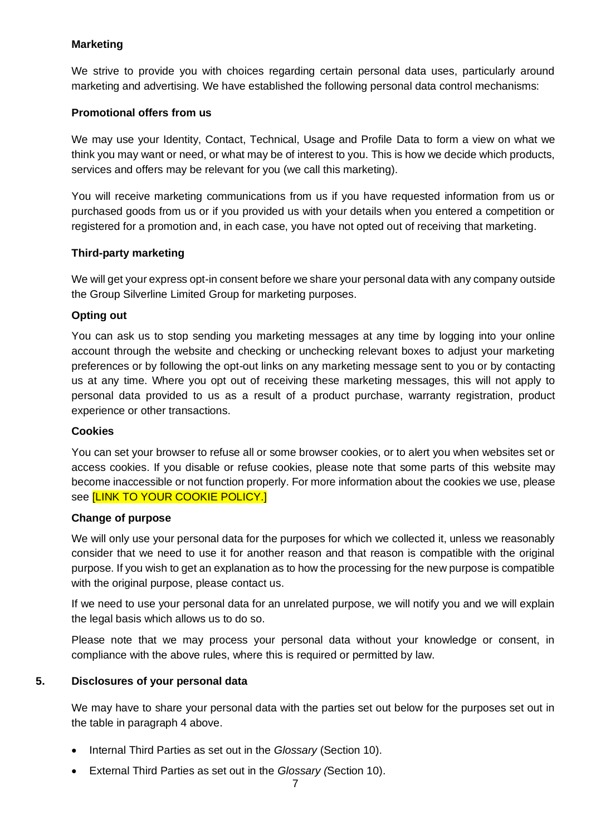### **Marketing**

We strive to provide you with choices regarding certain personal data uses, particularly around marketing and advertising. We have established the following personal data control mechanisms:

### **Promotional offers from us**

We may use your Identity, Contact, Technical, Usage and Profile Data to form a view on what we think you may want or need, or what may be of interest to you. This is how we decide which products, services and offers may be relevant for you (we call this marketing).

You will receive marketing communications from us if you have requested information from us or purchased goods from us or if you provided us with your details when you entered a competition or registered for a promotion and, in each case, you have not opted out of receiving that marketing.

#### **Third-party marketing**

We will get your express opt-in consent before we share your personal data with any company outside the Group Silverline Limited Group for marketing purposes.

### **Opting out**

You can ask us to stop sending you marketing messages at any time by logging into your online account through the website and checking or unchecking relevant boxes to adjust your marketing preferences or by following the opt-out links on any marketing message sent to you or by contacting us at any time. Where you opt out of receiving these marketing messages, this will not apply to personal data provided to us as a result of a product purchase, warranty registration, product experience or other transactions.

#### **Cookies**

You can set your browser to refuse all or some browser cookies, or to alert you when websites set or access cookies. If you disable or refuse cookies, please note that some parts of this website may become inaccessible or not function properly. For more information about the cookies we use, please see [LINK TO YOUR COOKIE POLICY.]

#### **Change of purpose**

We will only use your personal data for the purposes for which we collected it, unless we reasonably consider that we need to use it for another reason and that reason is compatible with the original purpose. If you wish to get an explanation as to how the processing for the new purpose is compatible with the original purpose, please contact us.

If we need to use your personal data for an unrelated purpose, we will notify you and we will explain the legal basis which allows us to do so.

Please note that we may process your personal data without your knowledge or consent, in compliance with the above rules, where this is required or permitted by law.

#### **5. Disclosures of your personal data**

We may have to share your personal data with the parties set out below for the purposes set out in the table in paragraph 4 above.

- Internal Third Parties as set out in the *Glossary* (Section 10).
- External Third Parties as set out in the *Glossary (*Section 10).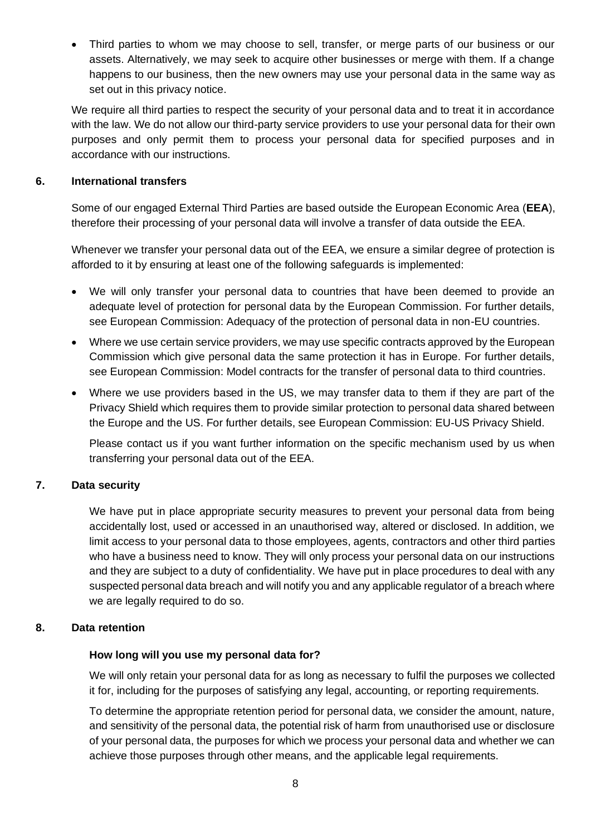• Third parties to whom we may choose to sell, transfer, or merge parts of our business or our assets. Alternatively, we may seek to acquire other businesses or merge with them. If a change happens to our business, then the new owners may use your personal data in the same way as set out in this privacy notice.

We require all third parties to respect the security of your personal data and to treat it in accordance with the law. We do not allow our third-party service providers to use your personal data for their own purposes and only permit them to process your personal data for specified purposes and in accordance with our instructions.

### **6. International transfers**

Some of our engaged External Third Parties are based outside the European Economic Area (**EEA**), therefore their processing of your personal data will involve a transfer of data outside the EEA.

Whenever we transfer your personal data out of the EEA, we ensure a similar degree of protection is afforded to it by ensuring at least one of the following safeguards is implemented:

- We will only transfer your personal data to countries that have been deemed to provide an adequate level of protection for personal data by the European Commission. For further details, see European Commission: Adequacy of the protection of personal data in non-EU countries.
- Where we use certain service providers, we may use specific contracts approved by the European Commission which give personal data the same protection it has in Europe. For further details, see European Commission: Model contracts for the transfer of personal data to third countries.
- Where we use providers based in the US, we may transfer data to them if they are part of the Privacy Shield which requires them to provide similar protection to personal data shared between the Europe and the US. For further details, see European Commission: EU-US Privacy Shield.

Please contact us if you want further information on the specific mechanism used by us when transferring your personal data out of the EEA.

### **7. Data security**

We have put in place appropriate security measures to prevent your personal data from being accidentally lost, used or accessed in an unauthorised way, altered or disclosed. In addition, we limit access to your personal data to those employees, agents, contractors and other third parties who have a business need to know. They will only process your personal data on our instructions and they are subject to a duty of confidentiality. We have put in place procedures to deal with any suspected personal data breach and will notify you and any applicable regulator of a breach where we are legally required to do so.

### **8. Data retention**

#### **How long will you use my personal data for?**

We will only retain your personal data for as long as necessary to fulfil the purposes we collected it for, including for the purposes of satisfying any legal, accounting, or reporting requirements.

To determine the appropriate retention period for personal data, we consider the amount, nature, and sensitivity of the personal data, the potential risk of harm from unauthorised use or disclosure of your personal data, the purposes for which we process your personal data and whether we can achieve those purposes through other means, and the applicable legal requirements.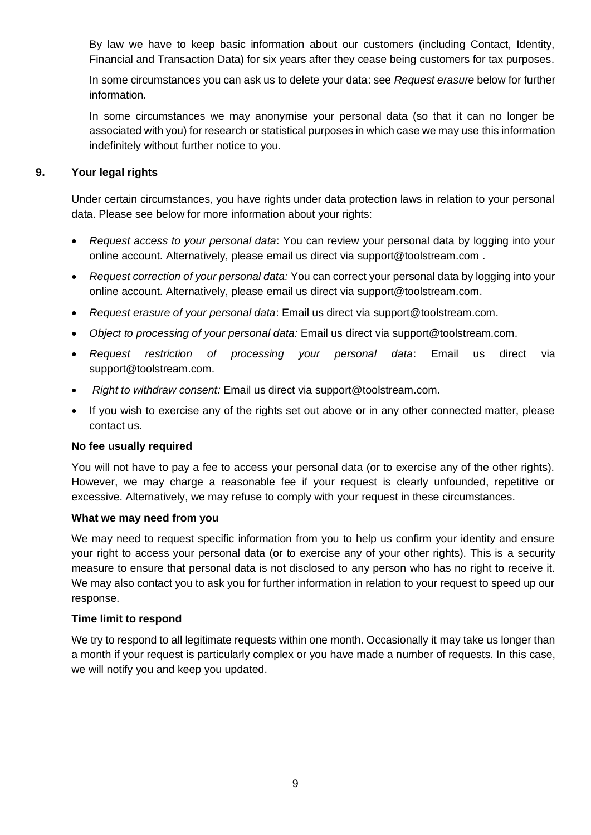By law we have to keep basic information about our customers (including Contact, Identity, Financial and Transaction Data) for six years after they cease being customers for tax purposes.

In some circumstances you can ask us to delete your data: see *Request erasure* below for further information.

In some circumstances we may anonymise your personal data (so that it can no longer be associated with you) for research or statistical purposes in which case we may use this information indefinitely without further notice to you.

### **9. Your legal rights**

Under certain circumstances, you have rights under data protection laws in relation to your personal data. Please see below for more information about your rights:

- *Request access to your personal data*: You can review your personal data by logging into your online account. Alternatively, please email us direct via support@toolstream.com .
- *Request correction of your personal data:* You can correct your personal data by logging into your online account. Alternatively, please email us direct via support@toolstream.com.
- *Request erasure of your personal data*: Email us direct via support@toolstream.com.
- *Object to processing of your personal data:* Email us direct via support@toolstream.com.
- *Request restriction of processing your personal data*: Email us direct via support@toolstream.com.
- *Right to withdraw consent:* Email us direct via support@toolstream.com.
- If you wish to exercise any of the rights set out above or in any other connected matter, please contact us.

#### **No fee usually required**

You will not have to pay a fee to access your personal data (or to exercise any of the other rights). However, we may charge a reasonable fee if your request is clearly unfounded, repetitive or excessive. Alternatively, we may refuse to comply with your request in these circumstances.

#### **What we may need from you**

We may need to request specific information from you to help us confirm your identity and ensure your right to access your personal data (or to exercise any of your other rights). This is a security measure to ensure that personal data is not disclosed to any person who has no right to receive it. We may also contact you to ask you for further information in relation to your request to speed up our response.

#### **Time limit to respond**

We try to respond to all legitimate requests within one month. Occasionally it may take us longer than a month if your request is particularly complex or you have made a number of requests. In this case, we will notify you and keep you updated.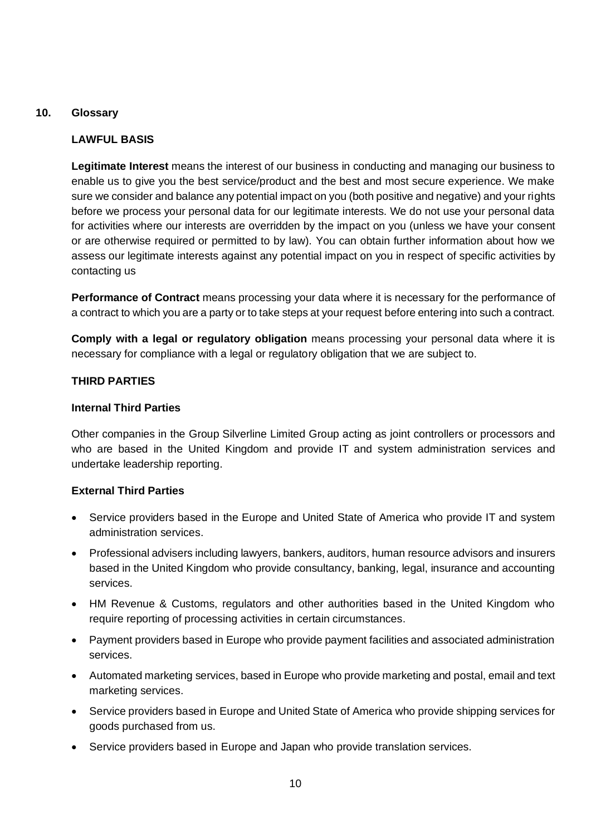#### **10. Glossary**

### **LAWFUL BASIS**

**Legitimate Interest** means the interest of our business in conducting and managing our business to enable us to give you the best service/product and the best and most secure experience. We make sure we consider and balance any potential impact on you (both positive and negative) and your rights before we process your personal data for our legitimate interests. We do not use your personal data for activities where our interests are overridden by the impact on you (unless we have your consent or are otherwise required or permitted to by law). You can obtain further information about how we assess our legitimate interests against any potential impact on you in respect of specific activities by contacting us

**Performance of Contract** means processing your data where it is necessary for the performance of a contract to which you are a party or to take steps at your request before entering into such a contract.

**Comply with a legal or regulatory obligation** means processing your personal data where it is necessary for compliance with a legal or regulatory obligation that we are subject to.

#### **THIRD PARTIES**

#### **Internal Third Parties**

Other companies in the Group Silverline Limited Group acting as joint controllers or processors and who are based in the United Kingdom and provide IT and system administration services and undertake leadership reporting.

#### **External Third Parties**

- Service providers based in the Europe and United State of America who provide IT and system administration services.
- Professional advisers including lawyers, bankers, auditors, human resource advisors and insurers based in the United Kingdom who provide consultancy, banking, legal, insurance and accounting services.
- HM Revenue & Customs, regulators and other authorities based in the United Kingdom who require reporting of processing activities in certain circumstances.
- Payment providers based in Europe who provide payment facilities and associated administration services.
- Automated marketing services, based in Europe who provide marketing and postal, email and text marketing services.
- Service providers based in Europe and United State of America who provide shipping services for goods purchased from us.
- Service providers based in Europe and Japan who provide translation services.